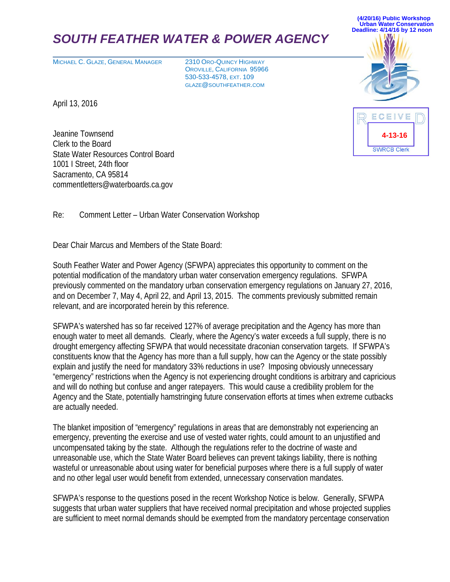# *SOUTH FEATHER WATER & POWER AGENCY*

MICHAEL C. GLAZE, GENERAL MANAGER 2310 ORO-QUINCY HIGHWAY

OROVILLE, CALIFORNIA 95966 530-533-4578, EXT. 109 GLAZE@SOUTHFEATHER.COM

**(4/20/16) Public Workshop Urban Water Conservation Deadline: 4/14/16 by 12 noon** 

**4-13-16**

**SWRCB Clerk** 

ECEIVE

April 13, 2016

Jeanine Townsend Clerk to the Board State Water Resources Control Board 1001 I Street, 24th floor Sacramento, CA 95814 commentletters@waterboards.ca.gov

Re: Comment Letter – Urban Water Conservation Workshop

Dear Chair Marcus and Members of the State Board:

South Feather Water and Power Agency (SFWPA) appreciates this opportunity to comment on the potential modification of the mandatory urban water conservation emergency regulations. SFWPA previously commented on the mandatory urban conservation emergency regulations on January 27, 2016, and on December 7, May 4, April 22, and April 13, 2015. The comments previously submitted remain relevant, and are incorporated herein by this reference.

SFWPA's watershed has so far received 127% of average precipitation and the Agency has more than enough water to meet all demands. Clearly, where the Agency's water exceeds a full supply, there is no drought emergency affecting SFWPA that would necessitate draconian conservation targets. If SFWPA's constituents know that the Agency has more than a full supply, how can the Agency or the state possibly explain and justify the need for mandatory 33% reductions in use? Imposing obviously unnecessary "emergency" restrictions when the Agency is not experiencing drought conditions is arbitrary and capricious and will do nothing but confuse and anger ratepayers. This would cause a credibility problem for the Agency and the State, potentially hamstringing future conservation efforts at times when extreme cutbacks are actually needed.

The blanket imposition of "emergency" regulations in areas that are demonstrably not experiencing an emergency, preventing the exercise and use of vested water rights, could amount to an unjustified and uncompensated taking by the state. Although the regulations refer to the doctrine of waste and unreasonable use, which the State Water Board believes can prevent takings liability, there is nothing wasteful or unreasonable about using water for beneficial purposes where there is a full supply of water and no other legal user would benefit from extended, unnecessary conservation mandates.

SFWPA's response to the questions posed in the recent Workshop Notice is below. Generally, SFWPA suggests that urban water suppliers that have received normal precipitation and whose projected supplies are sufficient to meet normal demands should be exempted from the mandatory percentage conservation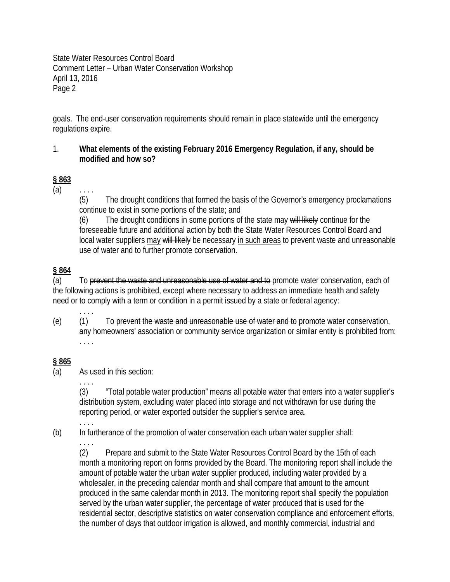State Water Resources Control Board Comment Letter – Urban Water Conservation Workshop April 13, 2016 Page 2

goals. The end-user conservation requirements should remain in place statewide until the emergency regulations expire.

## 1. **What elements of the existing February 2016 Emergency Regulation, if any, should be modified and how so?**

# **§ 863**

 $(a)$  ....

(5) The drought conditions that formed the basis of the Governor's emergency proclamations continue to exist in some portions of the state; and

(6) The drought conditions in some portions of the state may will likely continue for the foreseeable future and additional action by both the State Water Resources Control Board and local water suppliers may will likely be necessary in such areas to prevent waste and unreasonable use of water and to further promote conservation.

# **§ 864**

(a) To prevent the waste and unreasonable use of water and to promote water conservation, each of the following actions is prohibited, except where necessary to address an immediate health and safety need or to comply with a term or condition in a permit issued by a state or federal agency:

(e) (1) To prevent the waste and unreasonable use of water and to promote water conservation, any homeowners' association or community service organization or similar entity is prohibited from: . . . .

## **§ 865**

(a) As used in this section:

. . . .

. . . .

. . . .

. . . .

(3) "Total potable water production" means all potable water that enters into a water supplier's distribution system, excluding water placed into storage and not withdrawn for use during the reporting period, or water exported outsider the supplier's service area.

- (b) In furtherance of the promotion of water conservation each urban water supplier shall:
- 

(2) Prepare and submit to the State Water Resources Control Board by the 15th of each month a monitoring report on forms provided by the Board. The monitoring report shall include the amount of potable water the urban water supplier produced, including water provided by a wholesaler, in the preceding calendar month and shall compare that amount to the amount produced in the same calendar month in 2013. The monitoring report shall specify the population served by the urban water supplier, the percentage of water produced that is used for the residential sector, descriptive statistics on water conservation compliance and enforcement efforts, the number of days that outdoor irrigation is allowed, and monthly commercial, industrial and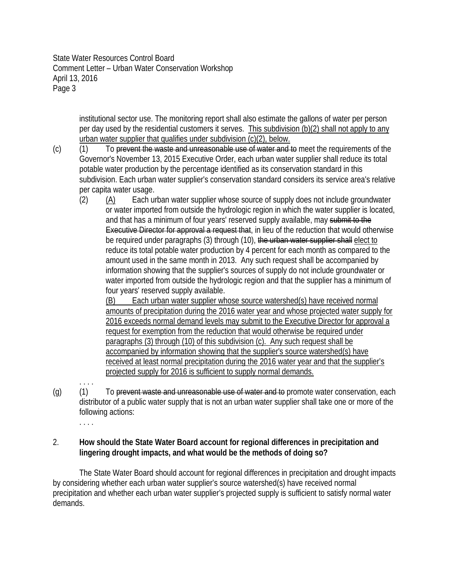State Water Resources Control Board Comment Letter – Urban Water Conservation Workshop April 13, 2016 Page 3

> institutional sector use. The monitoring report shall also estimate the gallons of water per person per day used by the residential customers it serves. This subdivision (b)(2) shall not apply to any urban water supplier that qualifies under subdivision (c)(2), below.

- (c) (1) To prevent the waste and unreasonable use of water and to meet the requirements of the Governor's November 13, 2015 Executive Order, each urban water supplier shall reduce its total potable water production by the percentage identified as its conservation standard in this subdivision. Each urban water supplier's conservation standard considers its service area's relative per capita water usage.
	- (2) (A) Each urban water supplier whose source of supply does not include groundwater or water imported from outside the hydrologic region in which the water supplier is located, and that has a minimum of four years' reserved supply available, may submit to the Executive Director for approval a request that, in lieu of the reduction that would otherwise be required under paragraphs (3) through (10), the urban water supplier shall elect to reduce its total potable water production by 4 percent for each month as compared to the amount used in the same month in 2013. Any such request shall be accompanied by information showing that the supplier's sources of supply do not include groundwater or water imported from outside the hydrologic region and that the supplier has a minimum of four years' reserved supply available.

(B) Each urban water supplier whose source watershed(s) have received normal amounts of precipitation during the 2016 water year and whose projected water supply for 2016 exceeds normal demand levels may submit to the Executive Director for approval a request for exemption from the reduction that would otherwise be required under paragraphs (3) through (10) of this subdivision (c). Any such request shall be accompanied by information showing that the supplier's source watershed(s) have received at least normal precipitation during the 2016 water year and that the supplier's projected supply for 2016 is sufficient to supply normal demands.

(g) (1) To prevent waste and unreasonable use of water and to promote water conservation, each distributor of a public water supply that is not an urban water supplier shall take one or more of the following actions:

. . . .

. . . .

# 2. **How should the State Water Board account for regional differences in precipitation and lingering drought impacts, and what would be the methods of doing so?**

The State Water Board should account for regional differences in precipitation and drought impacts by considering whether each urban water supplier's source watershed(s) have received normal precipitation and whether each urban water supplier's projected supply is sufficient to satisfy normal water demands.